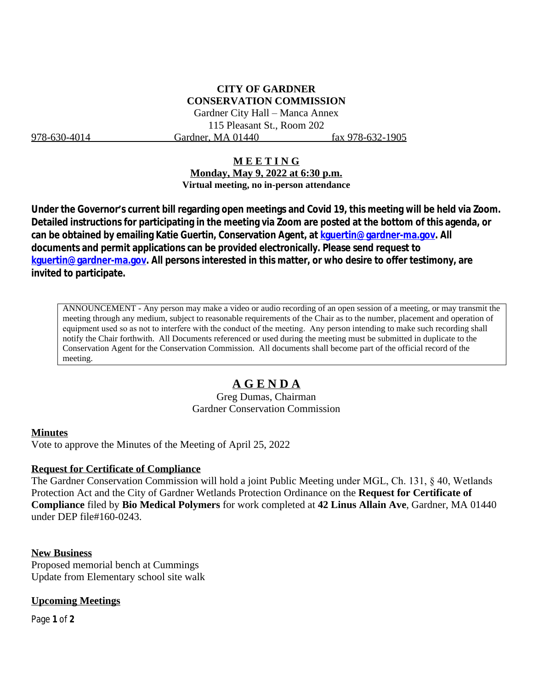## **CITY OF GARDNER CONSERVATION COMMISSION**

Gardner City Hall – Manca Annex 115 Pleasant St., Room 202 978-630-4014 Gardner, MA 01440 fax 978-632-1905

#### **M E E T I N G**

**Monday, May 9, 2022 at 6:30 p.m. Virtual meeting, no in-person attendance**

**Under the Governor's current bill regarding open meetings and Covid 19, this meeting will be held via Zoom. Detailed instructions for participating in the meeting via Zoom are posted at the bottom of this agenda, or can be obtained by emailing Katie Guertin, Conservation Agent, at [kguertin@gardner-ma.gov. All](mailto:kguertin@gardner-ma.gov)  [documents and permit applications can be provided electronically. Please send request to](mailto:kguertin@gardner-ma.gov)  [kguertin@gardner-ma.gov.](mailto:kguertin@gardner-ma.gov) All persons interested in this matter, or who desire to offer testimony, are invited to participate.**

ANNOUNCEMENT - Any person may make a video or audio recording of an open session of a meeting, or may transmit the meeting through any medium, subject to reasonable requirements of the Chair as to the number, placement and operation of equipment used so as not to interfere with the conduct of the meeting. Any person intending to make such recording shall notify the Chair forthwith. All Documents referenced or used during the meeting must be submitted in duplicate to the Conservation Agent for the Conservation Commission. All documents shall become part of the official record of the meeting.

# **A G E N D A**

Greg Dumas, Chairman Gardner Conservation Commission

#### **Minutes**

Vote to approve the Minutes of the Meeting of April 25, 2022

#### **Request for Certificate of Compliance**

The Gardner Conservation Commission will hold a joint Public Meeting under MGL, Ch. 131, § 40, Wetlands Protection Act and the City of Gardner Wetlands Protection Ordinance on the **Request for Certificate of Compliance** filed by **Bio Medical Polymers** for work completed at **42 Linus Allain Ave**, Gardner, MA 01440 under DEP file#160-0243.

#### **New Business**

Proposed memorial bench at Cummings Update from Elementary school site walk

#### **Upcoming Meetings**

Page **1** of **2**